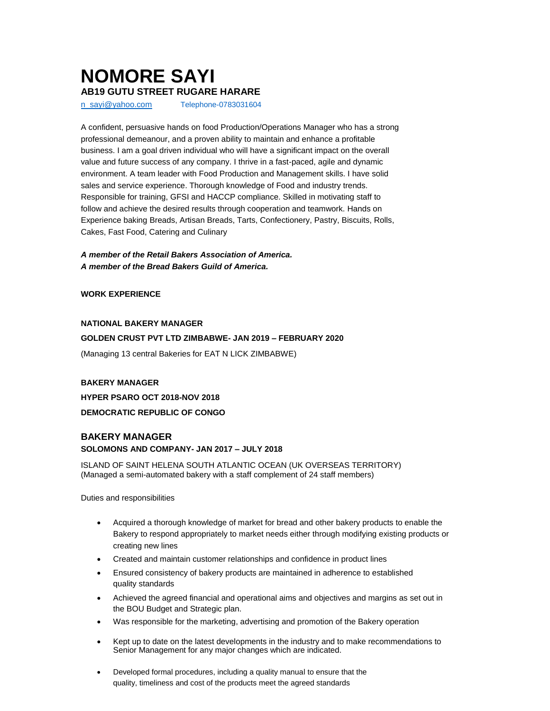# **NOMORE SAYI AB19 GUTU STREET RUGARE HARARE**

[n\\_sayi@yahoo.com](mailto:n_sayi@yahoo.com) Telephone-0783031604

A confident, persuasive hands on food Production/Operations Manager who has a strong professional demeanour, and a proven ability to maintain and enhance a profitable business. I am a goal driven individual who will have a significant impact on the overall value and future success of any company. I thrive in a fast-paced, agile and dynamic environment. A team leader with Food Production and Management skills. I have solid sales and service experience. Thorough knowledge of Food and industry trends. Responsible for training, GFSI and HACCP compliance. Skilled in motivating staff to follow and achieve the desired results through cooperation and teamwork. Hands on Experience baking Breads, Artisan Breads, Tarts, Confectionery, Pastry, Biscuits, Rolls, Cakes, Fast Food, Catering and Culinary

## *A member of the Retail Bakers Association of America. A member of the Bread Bakers Guild of America.*

#### **WORK EXPERIENCE**

#### **NATIONAL BAKERY MANAGER**

#### **GOLDEN CRUST PVT LTD ZIMBABWE- JAN 2019 – FEBRUARY 2020**

(Managing 13 central Bakeries for EAT N LICK ZIMBABWE)

# **BAKERY MANAGER**

**HYPER PSARO OCT 2018-NOV 2018 DEMOCRATIC REPUBLIC OF CONGO**

# **BAKERY MANAGER SOLOMONS AND COMPANY- JAN 2017 – JULY 2018**

ISLAND OF SAINT HELENA SOUTH ATLANTIC OCEAN (UK OVERSEAS TERRITORY) (Managed a semi-automated bakery with a staff complement of 24 staff members)

Duties and responsibilities

- Acquired a thorough knowledge of market for bread and other bakery products to enable the Bakery to respond appropriately to market needs either through modifying existing products or creating new lines
- Created and maintain customer relationships and confidence in product lines
- Ensured consistency of bakery products are maintained in adherence to established quality standards
- Achieved the agreed financial and operational aims and objectives and margins as set out in the BOU Budget and Strategic plan.
- Was responsible for the marketing, advertising and promotion of the Bakery operation
- Kept up to date on the latest developments in the industry and to make recommendations to Senior Management for any major changes which are indicated.
- Developed formal procedures, including a quality manual to ensure that the quality, timeliness and cost of the products meet the agreed standards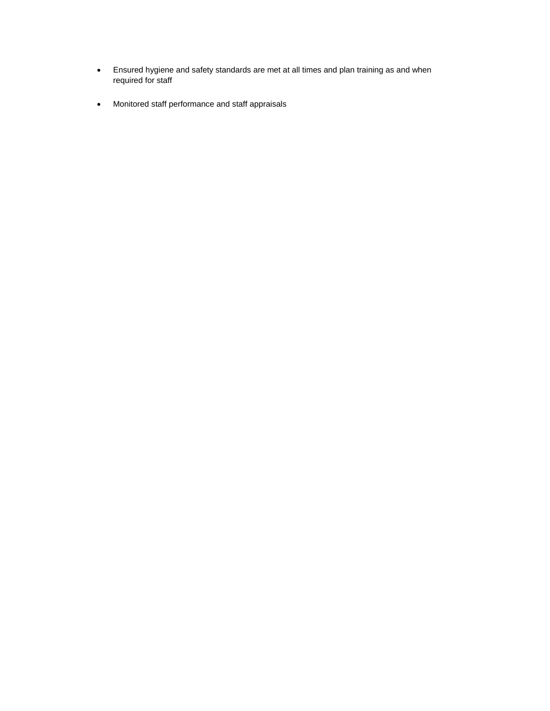- Ensured hygiene and safety standards are met at all times and plan training as and when required for staff
- Monitored staff performance and staff appraisals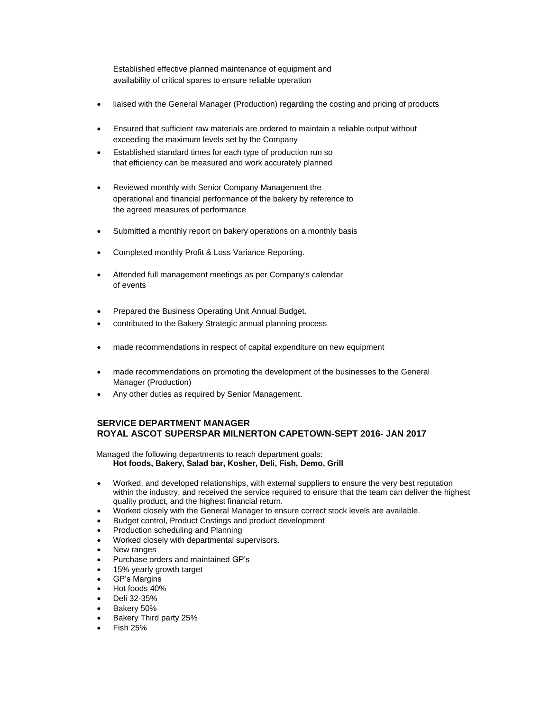Established effective planned maintenance of equipment and availability of critical spares to ensure reliable operation

- liaised with the General Manager (Production) regarding the costing and pricing of products
- Ensured that sufficient raw materials are ordered to maintain a reliable output without exceeding the maximum levels set by the Company
- Established standard times for each type of production run so that efficiency can be measured and work accurately planned
- Reviewed monthly with Senior Company Management the operational and financial performance of the bakery by reference to the agreed measures of performance
- Submitted a monthly report on bakery operations on a monthly basis
- Completed monthly Profit & Loss Variance Reporting.
- Attended full management meetings as per Company's calendar of events
- Prepared the Business Operating Unit Annual Budget.
- contributed to the Bakery Strategic annual planning process
- made recommendations in respect of capital expenditure on new equipment
- made recommendations on promoting the development of the businesses to the General Manager (Production)
- Any other duties as required by Senior Management.

## **SERVICE DEPARTMENT MANAGER ROYAL ASCOT SUPERSPAR MILNERTON CAPETOWN-SEPT 2016- JAN 2017**

Managed the following departments to reach department goals: **Hot foods, Bakery, Salad bar, Kosher, Deli, Fish, Demo, Grill**

- Worked, and developed relationships, with external suppliers to ensure the very best reputation within the industry, and received the service required to ensure that the team can deliver the highest quality product, and the highest financial return.
- Worked closely with the General Manager to ensure correct stock levels are available.
- Budget control, Product Costings and product development
- Production scheduling and Planning
- Worked closely with departmental supervisors.
- New ranges
- Purchase orders and maintained GP's
- 15% yearly growth target
- GP's Margins
- Hot foods 40%
- Deli 32-35%
- Bakery 50%
- Bakery Third party 25%
- $\bullet$  Fish 25%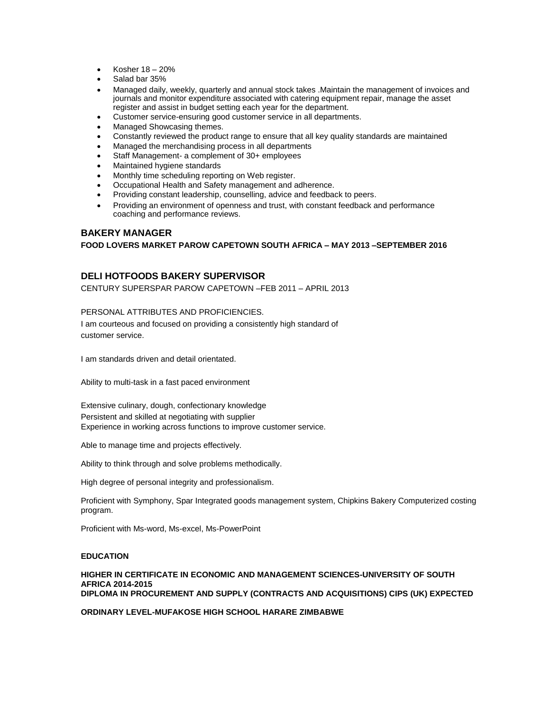- Kosher 18 20%
- Salad bar 35%
- Managed daily, weekly, quarterly and annual stock takes .Maintain the management of invoices and journals and monitor expenditure associated with catering equipment repair, manage the asset register and assist in budget setting each year for the department.
- Customer service-ensuring good customer service in all departments.
- Managed Showcasing themes.
- Constantly reviewed the product range to ensure that all key quality standards are maintained
- Managed the merchandising process in all departments
- Staff Management- a complement of 30+ employees
- Maintained hygiene standards
- Monthly time scheduling reporting on Web register.
- Occupational Health and Safety management and adherence.
- Providing constant leadership, counselling, advice and feedback to peers.
- Providing an environment of openness and trust, with constant feedback and performance coaching and performance reviews.

#### **BAKERY MANAGER**

#### **FOOD LOVERS MARKET PAROW CAPETOWN SOUTH AFRICA – MAY 2013 –SEPTEMBER 2016**

# **DELI HOTFOODS BAKERY SUPERVISOR**

CENTURY SUPERSPAR PAROW CAPETOWN –FEB 2011 – APRIL 2013

# PERSONAL ATTRIBUTES AND PROFICIENCIES.

I am courteous and focused on providing a consistently high standard of customer service.

I am standards driven and detail orientated.

Ability to multi-task in a fast paced environment

Extensive culinary, dough, confectionary knowledge Persistent and skilled at negotiating with supplier Experience in working across functions to improve customer service.

Able to manage time and projects effectively.

Ability to think through and solve problems methodically.

High degree of personal integrity and professionalism.

Proficient with Symphony, Spar Integrated goods management system, Chipkins Bakery Computerized costing program.

Proficient with Ms-word, Ms-excel, Ms-PowerPoint

## **EDUCATION**

**HIGHER IN CERTIFICATE IN ECONOMIC AND MANAGEMENT SCIENCES-UNIVERSITY OF SOUTH AFRICA 2014-2015 DIPLOMA IN PROCUREMENT AND SUPPLY (CONTRACTS AND ACQUISITIONS) CIPS (UK) EXPECTED**

**ORDINARY LEVEL-MUFAKOSE HIGH SCHOOL HARARE ZIMBABWE**